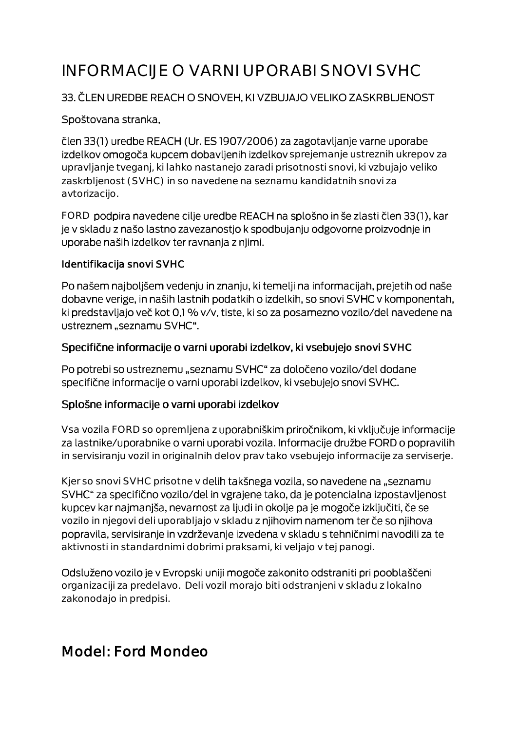# INFORMACIJE O VARNI UPORABI SNOVI SVHC

### 33. ČLEN UREDBE REACH O SNOVEH, KI VZBUJAJO VELIKO ZASKRBLJENOST

#### Spoštovana stranka,

člen 33(1) uredbe REACH (Ur. ES 1907/2006) za zagotavljanje varne uporabe izdelkov omogoča kupcem dobavljenih izdelkov sprejemanje ustreznih ukrepov za upravljanje tveganj, ki lahko nastanejo zaradi prisotnosti snovi, ki vzbujajo veliko zaskrbljenost (SVHC) in so navedene na seznamu kandidatnih snovi za avtorizacijo.

FORD podpira navedene cilje uredbe REACH na splošno in še zlasti člen 33(1), kar je v skladu z našo lastno zavezanostjo k spodbujanju odgovorne proizvodnje in uporabe naših izdelkov ter ravnanja z njimi.

#### Identifikacija snovi SVHC

Po našem najboljšem vedenju in znanju, ki temelji na informacijah, prejetih od naše dobavne verige, in naših lastnih podatkih o izdelkih, so snovi SVHC v komponentah, ki predstavljajo več kot 0,1 % v/v, tiste, ki so za posamezno vozilo/del navedene na ustreznem "seznamu SVHC".

#### Specifične informacije o varni uporabi izdelkov, ki vsebujejo snovi SVHC

Po potrebi so ustreznemu "seznamu SVHC" za določeno vozilo/del dodane specifične informacije o varni uporabi izdelkov, ki vsebujejo snovi SVHC.

#### Splošne informacije o varni uporabi izdelkov

Vsa vozila FORD so opremljena z uporabniškim priročnikom, ki vključuje informacije za lastnike/uporabnike o varni uporabi vozila. Informacije družbe FORD o popravilih in servisiranju vozil in originalnih delov prav tako vsebujejo informacije za serviserje.

Kjer so snovi SVHC prisotne v delih takšnega vozila, so navedene na "seznamu SVHC" za specifično vozilo/del in vgrajene tako, da je potencialna izpostavljenost kupcev kar najmanjša, nevarnost za ljudi in okolje pa je mogoče izključiti, če se vozilo in njegovi deli uporabljajo v skladu z njihovim namenom ter če so njihova popravila, servisiranje in vzdrževanje izvedena v skladu s tehničnimi navodili za te aktivnosti in standardnimi dobrimi praksami, ki veljajo v tej panogi.

Odsluženo vozilo je v Evropski uniji mogoče zakonito odstraniti pri pooblaščeni organizaciji za predelavo. Deli vozil morajo biti odstranjeni v skladu z lokalno zakonodajo in predpisi.

# Model: Ford Mondeo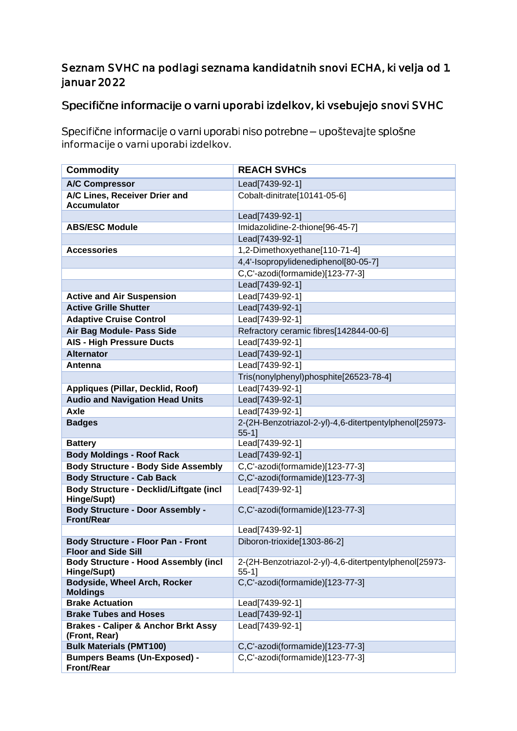## Seznam SVHC na podlagi seznama kandidatnih snovi ECHA, ki velja od 1. januar 2022

# Specifične informacije o varni uporabi izdelkov, ki vsebujejo snovi SVHC

Specifične informacije o varni uporabi niso potrebne - upoštevajte splošne informacije o varni uporabi izdelkov.

| <b>Commodity</b>                                                        | <b>REACH SVHCs</b>                                                 |
|-------------------------------------------------------------------------|--------------------------------------------------------------------|
| <b>A/C Compressor</b>                                                   | Lead[7439-92-1]                                                    |
| A/C Lines, Receiver Drier and<br><b>Accumulator</b>                     | Cobalt-dinitrate[10141-05-6]                                       |
|                                                                         | Lead[7439-92-1]                                                    |
| <b>ABS/ESC Module</b>                                                   | Imidazolidine-2-thione[96-45-7]                                    |
|                                                                         | Lead[7439-92-1]                                                    |
| <b>Accessories</b>                                                      | 1,2-Dimethoxyethane[110-71-4]                                      |
|                                                                         | 4,4'-Isopropylidenediphenol[80-05-7]                               |
|                                                                         | C,C'-azodi(formamide)[123-77-3]                                    |
|                                                                         | Lead[7439-92-1]                                                    |
| <b>Active and Air Suspension</b>                                        | Lead[7439-92-1]                                                    |
| <b>Active Grille Shutter</b>                                            | Lead[7439-92-1]                                                    |
| <b>Adaptive Cruise Control</b>                                          | Lead[7439-92-1]                                                    |
| Air Bag Module- Pass Side                                               | Refractory ceramic fibres[142844-00-6]                             |
| <b>AIS - High Pressure Ducts</b>                                        | Lead[7439-92-1]                                                    |
| <b>Alternator</b>                                                       | Lead[7439-92-1]                                                    |
| Antenna                                                                 | Lead[7439-92-1]                                                    |
|                                                                         | Tris(nonylphenyl)phosphite[26523-78-4]                             |
| Appliques (Pillar, Decklid, Roof)                                       | Lead[7439-92-1]                                                    |
| <b>Audio and Navigation Head Units</b>                                  | Lead[7439-92-1]                                                    |
| Axle                                                                    | Lead[7439-92-1]                                                    |
| <b>Badges</b>                                                           | 2-(2H-Benzotriazol-2-yl)-4,6-ditertpentylphenol[25973-<br>$55-1$ ] |
| <b>Battery</b>                                                          | Lead[7439-92-1]                                                    |
| <b>Body Moldings - Roof Rack</b>                                        | Lead[7439-92-1]                                                    |
| <b>Body Structure - Body Side Assembly</b>                              | C,C'-azodi(formamide)[123-77-3]                                    |
| <b>Body Structure - Cab Back</b>                                        | C,C'-azodi(formamide)[123-77-3]                                    |
| Body Structure - Decklid/Liftgate (incl<br>Hinge/Supt)                  | Lead[7439-92-1]                                                    |
| <b>Body Structure - Door Assembly -</b><br><b>Front/Rear</b>            | C,C'-azodi(formamide)[123-77-3]                                    |
|                                                                         | Lead[7439-92-1]                                                    |
| <b>Body Structure - Floor Pan - Front</b><br><b>Floor and Side Sill</b> | Diboron-trioxide[1303-86-2]                                        |
| <b>Body Structure - Hood Assembly (incl</b>                             | 2-(2H-Benzotriazol-2-yl)-4,6-ditertpentylphenol[25973-             |
| Hinge/Supt)                                                             | $55-1$ ]                                                           |
| <b>Bodyside, Wheel Arch, Rocker</b>                                     | C,C'-azodi(formamide)[123-77-3]                                    |
| <b>Moldings</b><br><b>Brake Actuation</b>                               | Lead[7439-92-1]                                                    |
| <b>Brake Tubes and Hoses</b>                                            | Lead[7439-92-1]                                                    |
| <b>Brakes - Caliper &amp; Anchor Brkt Assy</b>                          | Lead[7439-92-1]                                                    |
| (Front, Rear)                                                           |                                                                    |
| <b>Bulk Materials (PMT100)</b>                                          | C,C'-azodi(formamide)[123-77-3]                                    |
| <b>Bumpers Beams (Un-Exposed) -</b>                                     | C,C'-azodi(formamide)[123-77-3]                                    |
| <b>Front/Rear</b>                                                       |                                                                    |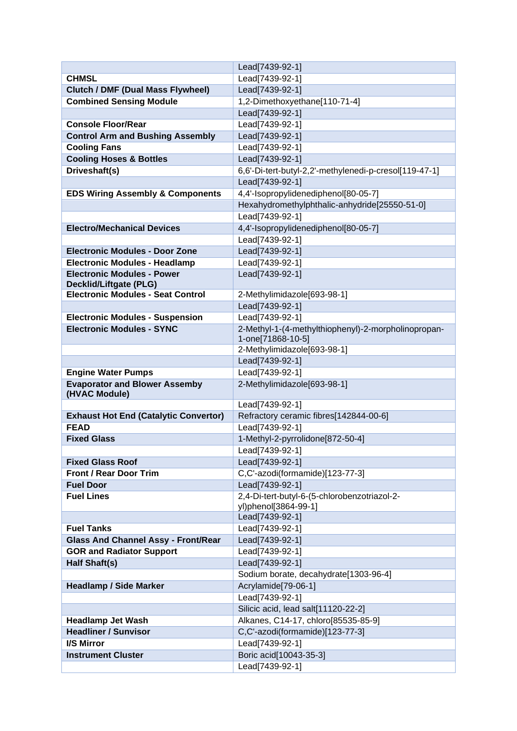|                                              | Lead[7439-92-1]                                                      |
|----------------------------------------------|----------------------------------------------------------------------|
| <b>CHMSL</b>                                 | Lead[7439-92-1]                                                      |
| <b>Clutch / DMF (Dual Mass Flywheel)</b>     | Lead[7439-92-1]                                                      |
| <b>Combined Sensing Module</b>               | 1,2-Dimethoxyethane[110-71-4]                                        |
|                                              | Lead[7439-92-1]                                                      |
| <b>Console Floor/Rear</b>                    | Lead[7439-92-1]                                                      |
| <b>Control Arm and Bushing Assembly</b>      | Lead[7439-92-1]                                                      |
| <b>Cooling Fans</b>                          | Lead[7439-92-1]                                                      |
| <b>Cooling Hoses &amp; Bottles</b>           | Lead[7439-92-1]                                                      |
| Driveshaft(s)                                | 6,6'-Di-tert-butyl-2,2'-methylenedi-p-cresol[119-47-1]               |
|                                              | Lead[7439-92-1]                                                      |
| <b>EDS Wiring Assembly &amp; Components</b>  | 4,4'-Isopropylidenediphenol[80-05-7]                                 |
|                                              | Hexahydromethylphthalic-anhydride[25550-51-0]                        |
|                                              | Lead[7439-92-1]                                                      |
| <b>Electro/Mechanical Devices</b>            | 4,4'-Isopropylidenediphenol[80-05-7]                                 |
|                                              | Lead[7439-92-1]                                                      |
| <b>Electronic Modules - Door Zone</b>        | Lead[7439-92-1]                                                      |
| <b>Electronic Modules - Headlamp</b>         | Lead[7439-92-1]                                                      |
| <b>Electronic Modules - Power</b>            | Lead[7439-92-1]                                                      |
| <b>Decklid/Liftgate (PLG)</b>                |                                                                      |
| <b>Electronic Modules - Seat Control</b>     | 2-Methylimidazole[693-98-1]                                          |
|                                              | Lead[7439-92-1]                                                      |
| <b>Electronic Modules - Suspension</b>       | Lead[7439-92-1]                                                      |
| <b>Electronic Modules - SYNC</b>             | 2-Methyl-1-(4-methylthiophenyl)-2-morpholinopropan-                  |
|                                              | 1-one[71868-10-5]                                                    |
|                                              | 2-Methylimidazole[693-98-1]                                          |
|                                              | Lead[7439-92-1]                                                      |
| <b>Engine Water Pumps</b>                    | Lead[7439-92-1]                                                      |
| <b>Evaporator and Blower Assemby</b>         | 2-Methylimidazole[693-98-1]                                          |
| (HVAC Module)                                |                                                                      |
|                                              | Lead[7439-92-1]                                                      |
| <b>Exhaust Hot End (Catalytic Convertor)</b> | Refractory ceramic fibres[142844-00-6]                               |
| <b>FEAD</b>                                  | Lead[7439-92-1]                                                      |
| <b>Fixed Glass</b>                           | 1-Methyl-2-pyrrolidone[872-50-4]                                     |
|                                              | Lead[7439-92-1]                                                      |
| <b>Fixed Glass Roof</b>                      | Lead[7439-92-1]                                                      |
| <b>Front / Rear Door Trim</b>                | C,C'-azodi(formamide)[123-77-3]                                      |
| <b>Fuel Door</b>                             | Lead[7439-92-1]                                                      |
| <b>Fuel Lines</b>                            | 2,4-Di-tert-butyl-6-(5-chlorobenzotriazol-2-<br>yl)phenol[3864-99-1] |
|                                              | Lead[7439-92-1]                                                      |
| <b>Fuel Tanks</b>                            | Lead[7439-92-1]                                                      |
| <b>Glass And Channel Assy - Front/Rear</b>   | Lead[7439-92-1]                                                      |
| <b>GOR and Radiator Support</b>              | Lead[7439-92-1]                                                      |
| <b>Half Shaft(s)</b>                         | Lead[7439-92-1]                                                      |
|                                              | Sodium borate, decahydrate[1303-96-4]                                |
| <b>Headlamp / Side Marker</b>                | Acrylamide[79-06-1]                                                  |
|                                              | Lead[7439-92-1]                                                      |
|                                              | Silicic acid, lead salt[11120-22-2]                                  |
| <b>Headlamp Jet Wash</b>                     | Alkanes, C14-17, chloro[85535-85-9]                                  |
| <b>Headliner / Sunvisor</b>                  | C,C'-azodi(formamide)[123-77-3]                                      |
| <b>I/S Mirror</b>                            | Lead[7439-92-1]                                                      |
| <b>Instrument Cluster</b>                    | Boric acid[10043-35-3]                                               |
|                                              | Lead[7439-92-1]                                                      |
|                                              |                                                                      |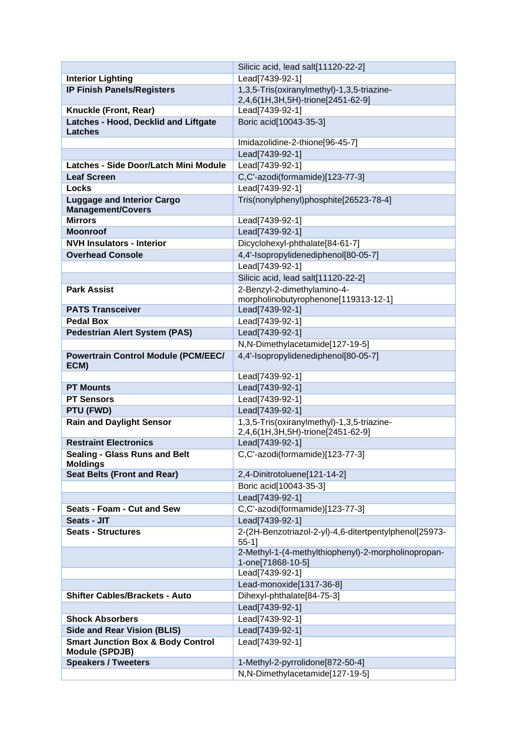|                                                                | Silicic acid, lead salt[11120-22-2]                                             |
|----------------------------------------------------------------|---------------------------------------------------------------------------------|
| <b>Interior Lighting</b>                                       | Lead[7439-92-1]                                                                 |
| <b>IP Finish Panels/Registers</b>                              | 1,3,5-Tris(oxiranylmethyl)-1,3,5-triazine-<br>2,4,6(1H,3H,5H)-trione[2451-62-9] |
| Knuckle (Front, Rear)                                          | Lead[7439-92-1]                                                                 |
| Latches - Hood, Decklid and Liftgate                           | Boric acid[10043-35-3]                                                          |
| <b>Latches</b>                                                 |                                                                                 |
|                                                                | Imidazolidine-2-thione[96-45-7]                                                 |
|                                                                | Lead[7439-92-1]                                                                 |
| Latches - Side Door/Latch Mini Module                          | Lead[7439-92-1]                                                                 |
| <b>Leaf Screen</b>                                             | C,C'-azodi(formamide)[123-77-3]                                                 |
| <b>Locks</b>                                                   | Lead[7439-92-1]                                                                 |
| <b>Luggage and Interior Cargo</b><br><b>Management/Covers</b>  | Tris(nonylphenyl)phosphite[26523-78-4]                                          |
| <b>Mirrors</b>                                                 | Lead[7439-92-1]                                                                 |
| <b>Moonroof</b>                                                | Lead[7439-92-1]                                                                 |
| <b>NVH Insulators - Interior</b>                               | Dicyclohexyl-phthalate[84-61-7]                                                 |
| <b>Overhead Console</b>                                        | 4,4'-Isopropylidenediphenol[80-05-7]                                            |
|                                                                | Lead[7439-92-1]                                                                 |
|                                                                | Silicic acid, lead salt[11120-22-2]                                             |
| <b>Park Assist</b>                                             | 2-Benzyl-2-dimethylamino-4-                                                     |
|                                                                | morpholinobutyrophenone[119313-12-1]                                            |
| <b>PATS Transceiver</b>                                        | Lead[7439-92-1]                                                                 |
| <b>Pedal Box</b>                                               | Lead[7439-92-1]                                                                 |
| <b>Pedestrian Alert System (PAS)</b>                           | Lead[7439-92-1]                                                                 |
|                                                                | N,N-Dimethylacetamide[127-19-5]                                                 |
| <b>Powertrain Control Module (PCM/EEC/</b><br>ECM)             | 4,4'-Isopropylidenediphenol[80-05-7]                                            |
|                                                                | Lead[7439-92-1]                                                                 |
| <b>PT Mounts</b>                                               | Lead[7439-92-1]                                                                 |
| <b>PT Sensors</b>                                              | Lead[7439-92-1]                                                                 |
| PTU (FWD)                                                      | Lead[7439-92-1]                                                                 |
| <b>Rain and Daylight Sensor</b>                                | 1,3,5-Tris(oxiranylmethyl)-1,3,5-triazine-                                      |
| <b>Restraint Electronics</b>                                   | 2,4,6(1H,3H,5H)-trione[2451-62-9]                                               |
| <b>Sealing - Glass Runs and Belt</b>                           | Lead[7439-92-1]<br>C,C'-azodi(formamide)[123-77-3]                              |
| <b>Moldings</b>                                                |                                                                                 |
| <b>Seat Belts (Front and Rear)</b>                             | 2,4-Dinitrotoluene[121-14-2]                                                    |
|                                                                | Boric acid[10043-35-3]                                                          |
|                                                                | Lead[7439-92-1]                                                                 |
| Seats - Foam - Cut and Sew                                     | C,C'-azodi(formamide)[123-77-3]                                                 |
| Seats - JIT                                                    | Lead[7439-92-1]                                                                 |
| <b>Seats - Structures</b>                                      | 2-(2H-Benzotriazol-2-yl)-4,6-ditertpentylphenol[25973-                          |
|                                                                | $55-1$ ]                                                                        |
|                                                                | 2-Methyl-1-(4-methylthiophenyl)-2-morpholinopropan-                             |
|                                                                |                                                                                 |
|                                                                | 1-one[71868-10-5]                                                               |
|                                                                | Lead[7439-92-1]                                                                 |
|                                                                | Lead-monoxide[1317-36-8]                                                        |
| <b>Shifter Cables/Brackets - Auto</b>                          | Dihexyl-phthalate[84-75-3]                                                      |
|                                                                | Lead[7439-92-1]                                                                 |
| <b>Shock Absorbers</b>                                         | Lead[7439-92-1]                                                                 |
| <b>Side and Rear Vision (BLIS)</b>                             | Lead[7439-92-1]                                                                 |
| <b>Smart Junction Box &amp; Body Control</b><br>Module (SPDJB) | Lead[7439-92-1]                                                                 |
| <b>Speakers / Tweeters</b>                                     | 1-Methyl-2-pyrrolidone[872-50-4]<br>N,N-Dimethylacetamide[127-19-5]             |